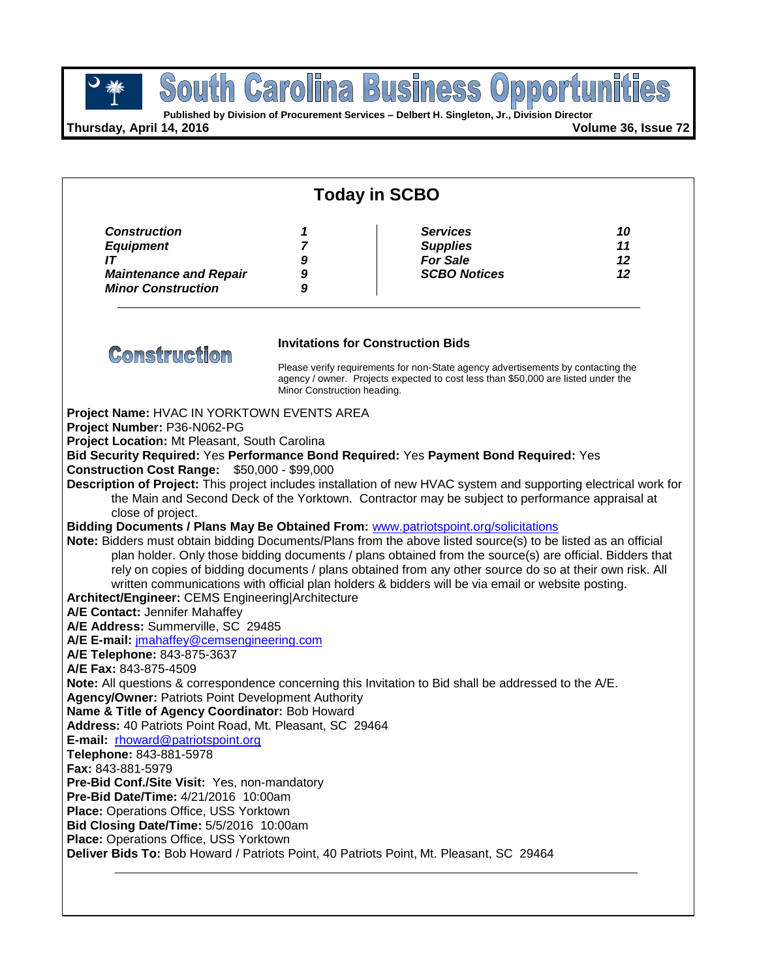

**Published by Division of Procurement Services – Delbert H. Singleton, Jr., Division Director**

**Thursday, April 14, 2016 Volume 36, Issue 72**

| <b>Construction</b><br><b>Services</b><br>10<br>1<br><b>Supplies</b><br>11<br><b>Equipment</b><br>7<br><b>For Sale</b><br>IT<br>12<br>9<br><b>SCBO Notices</b><br><b>Maintenance and Repair</b><br>12<br>9<br><b>Minor Construction</b><br>9<br><b>Invitations for Construction Bids</b><br><b>Construction</b><br>Please verify requirements for non-State agency advertisements by contacting the<br>agency / owner. Projects expected to cost less than \$50,000 are listed under the<br>Minor Construction heading.<br>the Main and Second Deck of the Yorktown. Contractor may be subject to performance appraisal at<br>close of project.<br>plan holder. Only those bidding documents / plans obtained from the source(s) are official. Bidders that<br>rely on copies of bidding documents / plans obtained from any other source do so at their own risk. All<br>written communications with official plan holders & bidders will be via email or website posting.                                                                                                                                                                                                                                                                                                                                                                                                                                                                                                                                                                     | <b>Today in SCBO</b> |  |  |  |  |  |
|-------------------------------------------------------------------------------------------------------------------------------------------------------------------------------------------------------------------------------------------------------------------------------------------------------------------------------------------------------------------------------------------------------------------------------------------------------------------------------------------------------------------------------------------------------------------------------------------------------------------------------------------------------------------------------------------------------------------------------------------------------------------------------------------------------------------------------------------------------------------------------------------------------------------------------------------------------------------------------------------------------------------------------------------------------------------------------------------------------------------------------------------------------------------------------------------------------------------------------------------------------------------------------------------------------------------------------------------------------------------------------------------------------------------------------------------------------------------------------------------------------------------------------------------------|----------------------|--|--|--|--|--|
| Project Name: HVAC IN YORKTOWN EVENTS AREA<br>Project Number: P36-N062-PG<br>Project Location: Mt Pleasant, South Carolina<br>Bid Security Required: Yes Performance Bond Required: Yes Payment Bond Required: Yes<br><b>Construction Cost Range: \$50,000 - \$99,000</b><br>Description of Project: This project includes installation of new HVAC system and supporting electrical work for<br>Bidding Documents / Plans May Be Obtained From: www.patriotspoint.org/solicitations<br>Note: Bidders must obtain bidding Documents/Plans from the above listed source(s) to be listed as an official<br>Architect/Engineer: CEMS Engineering Architecture<br>A/E Contact: Jennifer Mahaffey<br>A/E Address: Summerville, SC 29485<br>A/E E-mail: imahaffey@cemsengineering.com<br>A/E Telephone: 843-875-3637<br>A/E Fax: 843-875-4509<br>Note: All questions & correspondence concerning this Invitation to Bid shall be addressed to the A/E.<br><b>Agency/Owner: Patriots Point Development Authority</b><br>Name & Title of Agency Coordinator: Bob Howard<br>Address: 40 Patriots Point Road, Mt. Pleasant, SC 29464<br>E-mail: rhoward@patriotspoint.org<br>Telephone: 843-881-5978<br><b>Fax: 843-881-5979</b><br>Pre-Bid Conf./Site Visit: Yes, non-mandatory<br><b>Pre-Bid Date/Time: 4/21/2016 10:00am</b><br>Place: Operations Office, USS Yorktown<br>Bid Closing Date/Time: 5/5/2016 10:00am<br>Place: Operations Office, USS Yorktown<br>Deliver Bids To: Bob Howard / Patriots Point, 40 Patriots Point, Mt. Pleasant, SC 29464 |                      |  |  |  |  |  |
|                                                                                                                                                                                                                                                                                                                                                                                                                                                                                                                                                                                                                                                                                                                                                                                                                                                                                                                                                                                                                                                                                                                                                                                                                                                                                                                                                                                                                                                                                                                                                 |                      |  |  |  |  |  |
|                                                                                                                                                                                                                                                                                                                                                                                                                                                                                                                                                                                                                                                                                                                                                                                                                                                                                                                                                                                                                                                                                                                                                                                                                                                                                                                                                                                                                                                                                                                                                 |                      |  |  |  |  |  |
|                                                                                                                                                                                                                                                                                                                                                                                                                                                                                                                                                                                                                                                                                                                                                                                                                                                                                                                                                                                                                                                                                                                                                                                                                                                                                                                                                                                                                                                                                                                                                 |                      |  |  |  |  |  |
|                                                                                                                                                                                                                                                                                                                                                                                                                                                                                                                                                                                                                                                                                                                                                                                                                                                                                                                                                                                                                                                                                                                                                                                                                                                                                                                                                                                                                                                                                                                                                 |                      |  |  |  |  |  |
|                                                                                                                                                                                                                                                                                                                                                                                                                                                                                                                                                                                                                                                                                                                                                                                                                                                                                                                                                                                                                                                                                                                                                                                                                                                                                                                                                                                                                                                                                                                                                 |                      |  |  |  |  |  |
|                                                                                                                                                                                                                                                                                                                                                                                                                                                                                                                                                                                                                                                                                                                                                                                                                                                                                                                                                                                                                                                                                                                                                                                                                                                                                                                                                                                                                                                                                                                                                 |                      |  |  |  |  |  |
|                                                                                                                                                                                                                                                                                                                                                                                                                                                                                                                                                                                                                                                                                                                                                                                                                                                                                                                                                                                                                                                                                                                                                                                                                                                                                                                                                                                                                                                                                                                                                 |                      |  |  |  |  |  |
|                                                                                                                                                                                                                                                                                                                                                                                                                                                                                                                                                                                                                                                                                                                                                                                                                                                                                                                                                                                                                                                                                                                                                                                                                                                                                                                                                                                                                                                                                                                                                 |                      |  |  |  |  |  |
|                                                                                                                                                                                                                                                                                                                                                                                                                                                                                                                                                                                                                                                                                                                                                                                                                                                                                                                                                                                                                                                                                                                                                                                                                                                                                                                                                                                                                                                                                                                                                 |                      |  |  |  |  |  |
|                                                                                                                                                                                                                                                                                                                                                                                                                                                                                                                                                                                                                                                                                                                                                                                                                                                                                                                                                                                                                                                                                                                                                                                                                                                                                                                                                                                                                                                                                                                                                 |                      |  |  |  |  |  |
|                                                                                                                                                                                                                                                                                                                                                                                                                                                                                                                                                                                                                                                                                                                                                                                                                                                                                                                                                                                                                                                                                                                                                                                                                                                                                                                                                                                                                                                                                                                                                 |                      |  |  |  |  |  |
|                                                                                                                                                                                                                                                                                                                                                                                                                                                                                                                                                                                                                                                                                                                                                                                                                                                                                                                                                                                                                                                                                                                                                                                                                                                                                                                                                                                                                                                                                                                                                 |                      |  |  |  |  |  |
|                                                                                                                                                                                                                                                                                                                                                                                                                                                                                                                                                                                                                                                                                                                                                                                                                                                                                                                                                                                                                                                                                                                                                                                                                                                                                                                                                                                                                                                                                                                                                 |                      |  |  |  |  |  |
|                                                                                                                                                                                                                                                                                                                                                                                                                                                                                                                                                                                                                                                                                                                                                                                                                                                                                                                                                                                                                                                                                                                                                                                                                                                                                                                                                                                                                                                                                                                                                 |                      |  |  |  |  |  |
|                                                                                                                                                                                                                                                                                                                                                                                                                                                                                                                                                                                                                                                                                                                                                                                                                                                                                                                                                                                                                                                                                                                                                                                                                                                                                                                                                                                                                                                                                                                                                 |                      |  |  |  |  |  |
|                                                                                                                                                                                                                                                                                                                                                                                                                                                                                                                                                                                                                                                                                                                                                                                                                                                                                                                                                                                                                                                                                                                                                                                                                                                                                                                                                                                                                                                                                                                                                 |                      |  |  |  |  |  |
|                                                                                                                                                                                                                                                                                                                                                                                                                                                                                                                                                                                                                                                                                                                                                                                                                                                                                                                                                                                                                                                                                                                                                                                                                                                                                                                                                                                                                                                                                                                                                 |                      |  |  |  |  |  |
|                                                                                                                                                                                                                                                                                                                                                                                                                                                                                                                                                                                                                                                                                                                                                                                                                                                                                                                                                                                                                                                                                                                                                                                                                                                                                                                                                                                                                                                                                                                                                 |                      |  |  |  |  |  |
|                                                                                                                                                                                                                                                                                                                                                                                                                                                                                                                                                                                                                                                                                                                                                                                                                                                                                                                                                                                                                                                                                                                                                                                                                                                                                                                                                                                                                                                                                                                                                 |                      |  |  |  |  |  |
|                                                                                                                                                                                                                                                                                                                                                                                                                                                                                                                                                                                                                                                                                                                                                                                                                                                                                                                                                                                                                                                                                                                                                                                                                                                                                                                                                                                                                                                                                                                                                 |                      |  |  |  |  |  |
|                                                                                                                                                                                                                                                                                                                                                                                                                                                                                                                                                                                                                                                                                                                                                                                                                                                                                                                                                                                                                                                                                                                                                                                                                                                                                                                                                                                                                                                                                                                                                 |                      |  |  |  |  |  |
|                                                                                                                                                                                                                                                                                                                                                                                                                                                                                                                                                                                                                                                                                                                                                                                                                                                                                                                                                                                                                                                                                                                                                                                                                                                                                                                                                                                                                                                                                                                                                 |                      |  |  |  |  |  |
|                                                                                                                                                                                                                                                                                                                                                                                                                                                                                                                                                                                                                                                                                                                                                                                                                                                                                                                                                                                                                                                                                                                                                                                                                                                                                                                                                                                                                                                                                                                                                 |                      |  |  |  |  |  |
|                                                                                                                                                                                                                                                                                                                                                                                                                                                                                                                                                                                                                                                                                                                                                                                                                                                                                                                                                                                                                                                                                                                                                                                                                                                                                                                                                                                                                                                                                                                                                 |                      |  |  |  |  |  |
|                                                                                                                                                                                                                                                                                                                                                                                                                                                                                                                                                                                                                                                                                                                                                                                                                                                                                                                                                                                                                                                                                                                                                                                                                                                                                                                                                                                                                                                                                                                                                 |                      |  |  |  |  |  |
|                                                                                                                                                                                                                                                                                                                                                                                                                                                                                                                                                                                                                                                                                                                                                                                                                                                                                                                                                                                                                                                                                                                                                                                                                                                                                                                                                                                                                                                                                                                                                 |                      |  |  |  |  |  |
|                                                                                                                                                                                                                                                                                                                                                                                                                                                                                                                                                                                                                                                                                                                                                                                                                                                                                                                                                                                                                                                                                                                                                                                                                                                                                                                                                                                                                                                                                                                                                 |                      |  |  |  |  |  |
|                                                                                                                                                                                                                                                                                                                                                                                                                                                                                                                                                                                                                                                                                                                                                                                                                                                                                                                                                                                                                                                                                                                                                                                                                                                                                                                                                                                                                                                                                                                                                 |                      |  |  |  |  |  |
|                                                                                                                                                                                                                                                                                                                                                                                                                                                                                                                                                                                                                                                                                                                                                                                                                                                                                                                                                                                                                                                                                                                                                                                                                                                                                                                                                                                                                                                                                                                                                 |                      |  |  |  |  |  |
|                                                                                                                                                                                                                                                                                                                                                                                                                                                                                                                                                                                                                                                                                                                                                                                                                                                                                                                                                                                                                                                                                                                                                                                                                                                                                                                                                                                                                                                                                                                                                 |                      |  |  |  |  |  |
|                                                                                                                                                                                                                                                                                                                                                                                                                                                                                                                                                                                                                                                                                                                                                                                                                                                                                                                                                                                                                                                                                                                                                                                                                                                                                                                                                                                                                                                                                                                                                 |                      |  |  |  |  |  |
|                                                                                                                                                                                                                                                                                                                                                                                                                                                                                                                                                                                                                                                                                                                                                                                                                                                                                                                                                                                                                                                                                                                                                                                                                                                                                                                                                                                                                                                                                                                                                 |                      |  |  |  |  |  |
|                                                                                                                                                                                                                                                                                                                                                                                                                                                                                                                                                                                                                                                                                                                                                                                                                                                                                                                                                                                                                                                                                                                                                                                                                                                                                                                                                                                                                                                                                                                                                 |                      |  |  |  |  |  |
|                                                                                                                                                                                                                                                                                                                                                                                                                                                                                                                                                                                                                                                                                                                                                                                                                                                                                                                                                                                                                                                                                                                                                                                                                                                                                                                                                                                                                                                                                                                                                 |                      |  |  |  |  |  |
|                                                                                                                                                                                                                                                                                                                                                                                                                                                                                                                                                                                                                                                                                                                                                                                                                                                                                                                                                                                                                                                                                                                                                                                                                                                                                                                                                                                                                                                                                                                                                 |                      |  |  |  |  |  |
|                                                                                                                                                                                                                                                                                                                                                                                                                                                                                                                                                                                                                                                                                                                                                                                                                                                                                                                                                                                                                                                                                                                                                                                                                                                                                                                                                                                                                                                                                                                                                 |                      |  |  |  |  |  |
|                                                                                                                                                                                                                                                                                                                                                                                                                                                                                                                                                                                                                                                                                                                                                                                                                                                                                                                                                                                                                                                                                                                                                                                                                                                                                                                                                                                                                                                                                                                                                 |                      |  |  |  |  |  |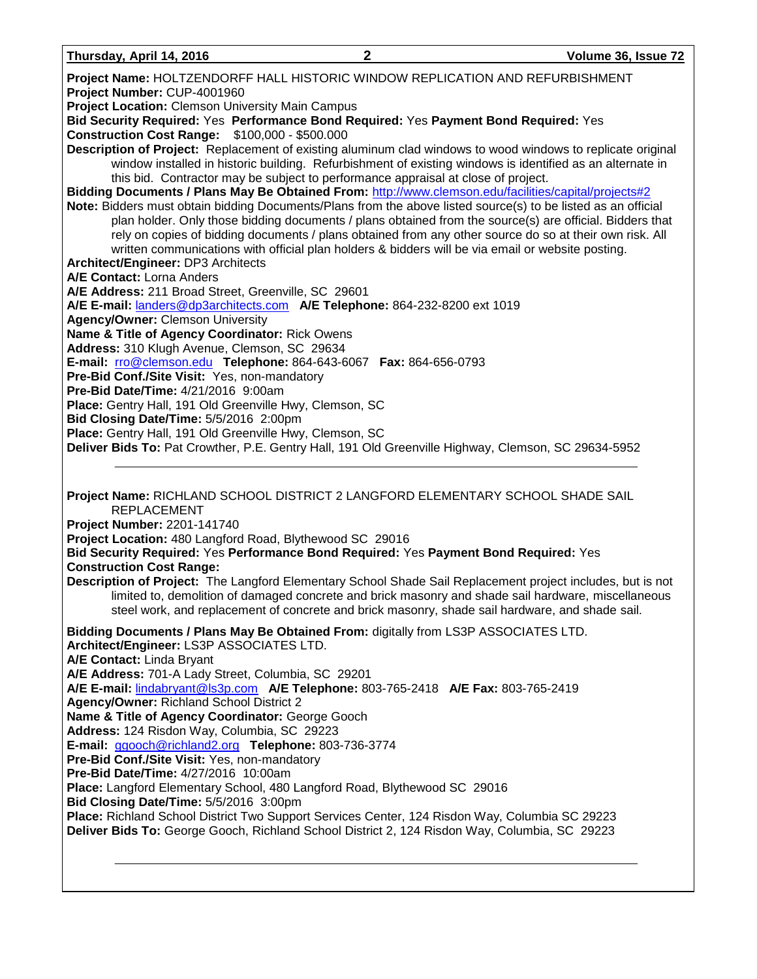**Thursday, April 14, 2016 2 Volume 36, Issue 72 Project Name:** HOLTZENDORFF HALL HISTORIC WINDOW REPLICATION AND REFURBISHMENT **Project Number:** CUP-4001960 **Project Location:** Clemson University Main Campus **Bid Security Required:** Yes **Performance Bond Required:** Yes **Payment Bond Required:** Yes **Construction Cost Range:** \$100,000 - \$500.000 **Description of Project:** Replacement of existing aluminum clad windows to wood windows to replicate original window installed in historic building. Refurbishment of existing windows is identified as an alternate in this bid. Contractor may be subject to performance appraisal at close of project. **Bidding Documents / Plans May Be Obtained From:** <http://www.clemson.edu/facilities/capital/projects#2> **Note:** Bidders must obtain bidding Documents/Plans from the above listed source(s) to be listed as an official plan holder. Only those bidding documents / plans obtained from the source(s) are official. Bidders that rely on copies of bidding documents / plans obtained from any other source do so at their own risk. All written communications with official plan holders & bidders will be via email or website posting. **Architect/Engineer:** DP3 Architects **A/E Contact:** Lorna Anders **A/E Address:** 211 Broad Street, Greenville, SC 29601 **A/E E-mail:** [landers@dp3architects.com](mailto:landers@dp3architects.com) **A/E Telephone:** 864-232-8200 ext 1019 **Agency/Owner:** Clemson University **Name & Title of Agency Coordinator:** Rick Owens **Address:** 310 Klugh Avenue, Clemson, SC 29634 **E-mail:** [rro@clemson.edu](mailto:rro@clemson.edu) **Telephone:** 864-643-6067 **Fax:** 864-656-0793 **Pre-Bid Conf./Site Visit:** Yes, non-mandatory **Pre-Bid Date/Time:** 4/21/2016 9:00am **Place:** Gentry Hall, 191 Old Greenville Hwy, Clemson, SC **Bid Closing Date/Time:** 5/5/2016 2:00pm **Place:** Gentry Hall, 191 Old Greenville Hwy, Clemson, SC **Deliver Bids To:** Pat Crowther, P.E. Gentry Hall, 191 Old Greenville Highway, Clemson, SC 29634-5952 **Project Name:** RICHLAND SCHOOL DISTRICT 2 LANGFORD ELEMENTARY SCHOOL SHADE SAIL REPLACEMENT **Project Number:** 2201-141740 **Project Location:** 480 Langford Road, Blythewood SC 29016 **Bid Security Required:** Yes **Performance Bond Required:** Yes **Payment Bond Required:** Yes **Construction Cost Range: Description of Project:** The Langford Elementary School Shade Sail Replacement project includes, but is not limited to, demolition of damaged concrete and brick masonry and shade sail hardware, miscellaneous steel work, and replacement of concrete and brick masonry, shade sail hardware, and shade sail. **Bidding Documents / Plans May Be Obtained From:** digitally from LS3P ASSOCIATES LTD. **Architect/Engineer:** LS3P ASSOCIATES LTD. **A/E Contact:** Linda Bryant **A/E Address:** 701-A Lady Street, Columbia, SC 29201 **A/E E-mail:** [lindabryant@ls3p.com](mailto:lindabryant@ls3p.com) **A/E Telephone:** 803-765-2418 **A/E Fax:** 803-765-2419 **Agency/Owner:** Richland School District 2 **Name & Title of Agency Coordinator:** George Gooch **Address:** 124 Risdon Way, Columbia, SC 29223 **E-mail:** [ggooch@richland2.org](mailto:ggooch@richland2.org) **Telephone:** 803-736-3774 **Pre-Bid Conf./Site Visit:** Yes, non-mandatory **Pre-Bid Date/Time:** 4/27/2016 10:00am **Place:** Langford Elementary School, 480 Langford Road, Blythewood SC 29016 **Bid Closing Date/Time:** 5/5/2016 3:00pm **Place:** Richland School District Two Support Services Center, 124 Risdon Way, Columbia SC 29223 **Deliver Bids To:** George Gooch, Richland School District 2, 124 Risdon Way, Columbia, SC 29223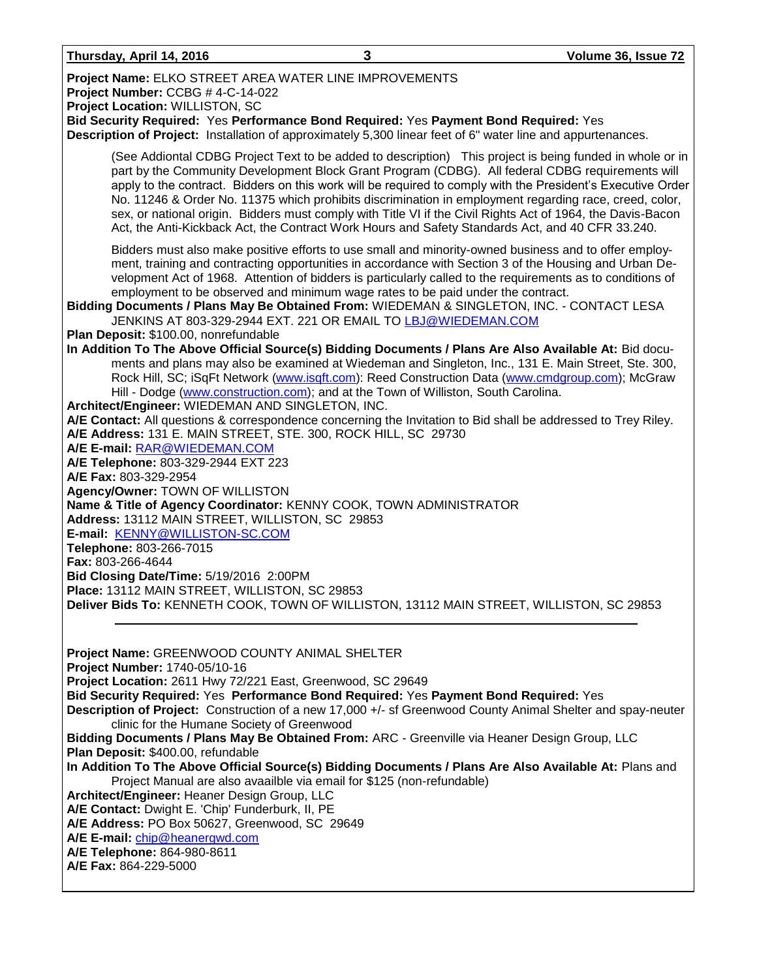| Thursday, April 14, 2016 |  |  |
|--------------------------|--|--|
|                          |  |  |

| Thursday, April 14, 2016                                                                                                                                                                                                                                                                                                             | 3                                                                                                                                                | Volume 36, Issue 72                                                                                                                                                                                                                                                                                                                                                                                                                                                                                                                                                                                                                                      |
|--------------------------------------------------------------------------------------------------------------------------------------------------------------------------------------------------------------------------------------------------------------------------------------------------------------------------------------|--------------------------------------------------------------------------------------------------------------------------------------------------|----------------------------------------------------------------------------------------------------------------------------------------------------------------------------------------------------------------------------------------------------------------------------------------------------------------------------------------------------------------------------------------------------------------------------------------------------------------------------------------------------------------------------------------------------------------------------------------------------------------------------------------------------------|
| Project Name: ELKO STREET AREA WATER LINE IMPROVEMENTS<br>Project Number: CCBG #4-C-14-022<br>Project Location: WILLISTON, SC<br>Bid Security Required: Yes Performance Bond Required: Yes Payment Bond Required: Yes<br>Description of Project: Installation of approximately 5,300 linear feet of 6" water line and appurtenances. |                                                                                                                                                  |                                                                                                                                                                                                                                                                                                                                                                                                                                                                                                                                                                                                                                                          |
|                                                                                                                                                                                                                                                                                                                                      |                                                                                                                                                  | (See Addiontal CDBG Project Text to be added to description) This project is being funded in whole or in<br>part by the Community Development Block Grant Program (CDBG). All federal CDBG requirements will<br>apply to the contract. Bidders on this work will be required to comply with the President's Executive Order<br>No. 11246 & Order No. 11375 which prohibits discrimination in employment regarding race, creed, color,<br>sex, or national origin. Bidders must comply with Title VI if the Civil Rights Act of 1964, the Davis-Bacon<br>Act, the Anti-Kickback Act, the Contract Work Hours and Safety Standards Act, and 40 CFR 33.240. |
| Bidding Documents / Plans May Be Obtained From: WIEDEMAN & SINGLETON, INC. - CONTACT LESA                                                                                                                                                                                                                                            | employment to be observed and minimum wage rates to be paid under the contract.<br>JENKINS AT 803-329-2944 EXT. 221 OR EMAIL TO LBJ@WIEDEMAN.COM | Bidders must also make positive efforts to use small and minority-owned business and to offer employ-<br>ment, training and contracting opportunities in accordance with Section 3 of the Housing and Urban De-<br>velopment Act of 1968. Attention of bidders is particularly called to the requirements as to conditions of                                                                                                                                                                                                                                                                                                                            |
| Plan Deposit: \$100.00, nonrefundable                                                                                                                                                                                                                                                                                                |                                                                                                                                                  |                                                                                                                                                                                                                                                                                                                                                                                                                                                                                                                                                                                                                                                          |
| Architect/Engineer: WIEDEMAN AND SINGLETON, INC.                                                                                                                                                                                                                                                                                     | Hill - Dodge (www.construction.com); and at the Town of Williston, South Carolina.                                                               | In Addition To The Above Official Source(s) Bidding Documents / Plans Are Also Available At: Bid docu-<br>ments and plans may also be examined at Wiedeman and Singleton, Inc., 131 E. Main Street, Ste. 300,<br>Rock Hill, SC; iSqFt Network (www.isqft.com): Reed Construction Data (www.cmdgroup.com); McGraw                                                                                                                                                                                                                                                                                                                                         |
| A/E Address: 131 E. MAIN STREET, STE. 300, ROCK HILL, SC 29730<br>A/E E-mail: RAR@WIEDEMAN.COM<br>A/E Telephone: 803-329-2944 EXT 223                                                                                                                                                                                                |                                                                                                                                                  | A/E Contact: All questions & correspondence concerning the Invitation to Bid shall be addressed to Trey Riley.                                                                                                                                                                                                                                                                                                                                                                                                                                                                                                                                           |
| A/E Fax: 803-329-2954                                                                                                                                                                                                                                                                                                                |                                                                                                                                                  |                                                                                                                                                                                                                                                                                                                                                                                                                                                                                                                                                                                                                                                          |
| Agency/Owner: TOWN OF WILLISTON                                                                                                                                                                                                                                                                                                      |                                                                                                                                                  |                                                                                                                                                                                                                                                                                                                                                                                                                                                                                                                                                                                                                                                          |
| Name & Title of Agency Coordinator: KENNY COOK, TOWN ADMINISTRATOR                                                                                                                                                                                                                                                                   |                                                                                                                                                  |                                                                                                                                                                                                                                                                                                                                                                                                                                                                                                                                                                                                                                                          |
| Address: 13112 MAIN STREET, WILLISTON, SC 29853                                                                                                                                                                                                                                                                                      |                                                                                                                                                  |                                                                                                                                                                                                                                                                                                                                                                                                                                                                                                                                                                                                                                                          |
| E-mail: KENNY@WILLISTON-SC.COM                                                                                                                                                                                                                                                                                                       |                                                                                                                                                  |                                                                                                                                                                                                                                                                                                                                                                                                                                                                                                                                                                                                                                                          |
| Telephone: 803-266-7015                                                                                                                                                                                                                                                                                                              |                                                                                                                                                  |                                                                                                                                                                                                                                                                                                                                                                                                                                                                                                                                                                                                                                                          |
| Fax: 803-266-4644                                                                                                                                                                                                                                                                                                                    |                                                                                                                                                  |                                                                                                                                                                                                                                                                                                                                                                                                                                                                                                                                                                                                                                                          |
| Bid Closing Date/Time: 5/19/2016 2:00PM<br>Place: 13112 MAIN STREET, WILLISTON, SC 29853                                                                                                                                                                                                                                             |                                                                                                                                                  |                                                                                                                                                                                                                                                                                                                                                                                                                                                                                                                                                                                                                                                          |
| Deliver Bids To: KENNETH COOK, TOWN OF WILLISTON, 13112 MAIN STREET, WILLISTON, SC 29853                                                                                                                                                                                                                                             |                                                                                                                                                  |                                                                                                                                                                                                                                                                                                                                                                                                                                                                                                                                                                                                                                                          |
|                                                                                                                                                                                                                                                                                                                                      |                                                                                                                                                  |                                                                                                                                                                                                                                                                                                                                                                                                                                                                                                                                                                                                                                                          |
| Project Name: GREENWOOD COUNTY ANIMAL SHELTER<br>Project Number: 1740-05/10-16                                                                                                                                                                                                                                                       |                                                                                                                                                  |                                                                                                                                                                                                                                                                                                                                                                                                                                                                                                                                                                                                                                                          |
| Project Location: 2611 Hwy 72/221 East, Greenwood, SC 29649                                                                                                                                                                                                                                                                          |                                                                                                                                                  |                                                                                                                                                                                                                                                                                                                                                                                                                                                                                                                                                                                                                                                          |
| Bid Security Required: Yes Performance Bond Required: Yes Payment Bond Required: Yes                                                                                                                                                                                                                                                 |                                                                                                                                                  |                                                                                                                                                                                                                                                                                                                                                                                                                                                                                                                                                                                                                                                          |
| clinic for the Humane Society of Greenwood                                                                                                                                                                                                                                                                                           |                                                                                                                                                  | Description of Project: Construction of a new 17,000 +/- sf Greenwood County Animal Shelter and spay-neuter                                                                                                                                                                                                                                                                                                                                                                                                                                                                                                                                              |
| Bidding Documents / Plans May Be Obtained From: ARC - Greenville via Heaner Design Group, LLC                                                                                                                                                                                                                                        |                                                                                                                                                  |                                                                                                                                                                                                                                                                                                                                                                                                                                                                                                                                                                                                                                                          |
| Plan Deposit: \$400.00, refundable                                                                                                                                                                                                                                                                                                   |                                                                                                                                                  |                                                                                                                                                                                                                                                                                                                                                                                                                                                                                                                                                                                                                                                          |
|                                                                                                                                                                                                                                                                                                                                      |                                                                                                                                                  | In Addition To The Above Official Source(s) Bidding Documents / Plans Are Also Available At: Plans and                                                                                                                                                                                                                                                                                                                                                                                                                                                                                                                                                   |
|                                                                                                                                                                                                                                                                                                                                      | Project Manual are also avaailble via email for \$125 (non-refundable)                                                                           |                                                                                                                                                                                                                                                                                                                                                                                                                                                                                                                                                                                                                                                          |
| Architect/Engineer: Heaner Design Group, LLC<br>A/E Contact: Dwight E. 'Chip' Funderburk, II, PE                                                                                                                                                                                                                                     |                                                                                                                                                  |                                                                                                                                                                                                                                                                                                                                                                                                                                                                                                                                                                                                                                                          |
| A/E Address: PO Box 50627, Greenwood, SC 29649                                                                                                                                                                                                                                                                                       |                                                                                                                                                  |                                                                                                                                                                                                                                                                                                                                                                                                                                                                                                                                                                                                                                                          |
| A/E E-mail: chip@heanergwd.com                                                                                                                                                                                                                                                                                                       |                                                                                                                                                  |                                                                                                                                                                                                                                                                                                                                                                                                                                                                                                                                                                                                                                                          |
| A/E Telephone: 864-980-8611                                                                                                                                                                                                                                                                                                          |                                                                                                                                                  |                                                                                                                                                                                                                                                                                                                                                                                                                                                                                                                                                                                                                                                          |
| A/E Fax: 864-229-5000                                                                                                                                                                                                                                                                                                                |                                                                                                                                                  |                                                                                                                                                                                                                                                                                                                                                                                                                                                                                                                                                                                                                                                          |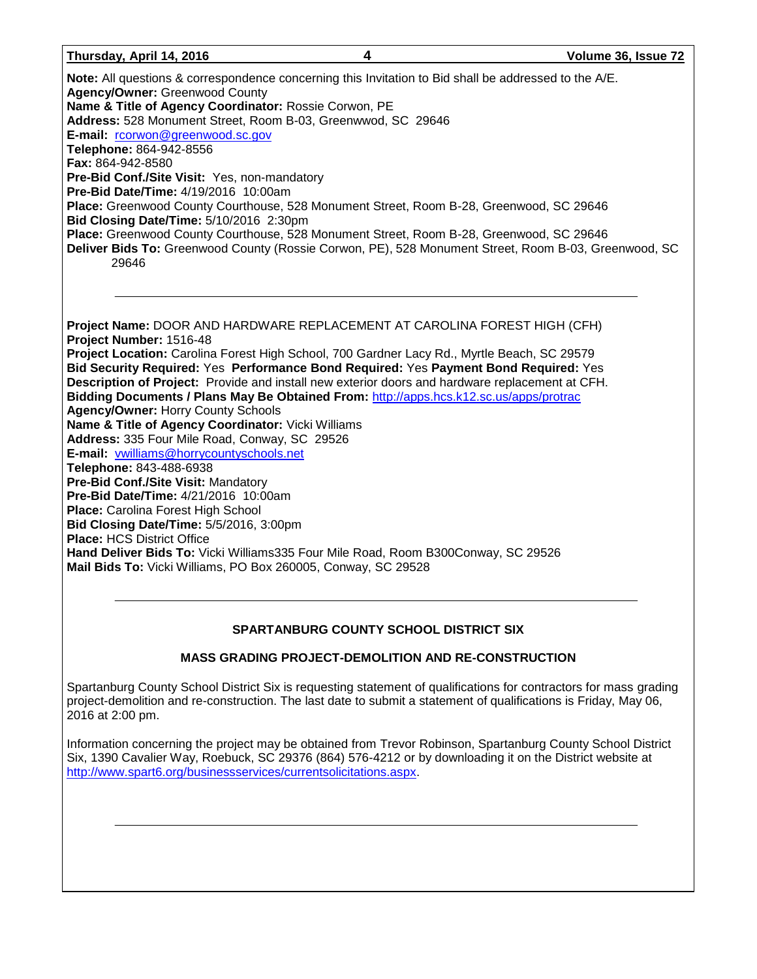#### **Thursday, April 14, 2016 4 Volume 36, Issue 72**

**Note:** All questions & correspondence concerning this Invitation to Bid shall be addressed to the A/E. **Agency/Owner:** Greenwood County **Name & Title of Agency Coordinator:** Rossie Corwon, PE **Address:** 528 Monument Street, Room B-03, Greenwwod, SC 29646 E-mail: [rcorwon@greenwood.sc.gov](mailto:rcorwon@greenwood.sc.gov) **Telephone:** 864-942-8556 **Fax:** 864-942-8580 **Pre-Bid Conf./Site Visit:** Yes, non-mandatory **Pre-Bid Date/Time:** 4/19/2016 10:00am **Place:** Greenwood County Courthouse, 528 Monument Street, Room B-28, Greenwood, SC 29646 **Bid Closing Date/Time:** 5/10/2016 2:30pm **Place:** Greenwood County Courthouse, 528 Monument Street, Room B-28, Greenwood, SC 29646 **Deliver Bids To:** Greenwood County (Rossie Corwon, PE), 528 Monument Street, Room B-03, Greenwood, SC 29646

**Project Name:** DOOR AND HARDWARE REPLACEMENT AT CAROLINA FOREST HIGH (CFH) **Project Number:** 1516-48 **Project Location:** Carolina Forest High School, 700 Gardner Lacy Rd., Myrtle Beach, SC 29579 **Bid Security Required:** Yes **Performance Bond Required:** Yes **Payment Bond Required:** Yes **Description of Project:** Provide and install new exterior doors and hardware replacement at CFH. **Bidding Documents / Plans May Be Obtained From:** <http://apps.hcs.k12.sc.us/apps/protrac> **Agency/Owner:** Horry County Schools **Name & Title of Agency Coordinator:** Vicki Williams **Address:** 335 Four Mile Road, Conway, SC 29526 **E-mail:** [vwilliams@horrycountyschools.net](mailto:vwilliams@horrycountyschools.net) **Telephone:** 843-488-6938 **Pre-Bid Conf./Site Visit:** Mandatory **Pre-Bid Date/Time:** 4/21/2016 10:00am **Place:** Carolina Forest High School **Bid Closing Date/Time:** 5/5/2016, 3:00pm **Place:** HCS District Office **Hand Deliver Bids To:** Vicki Williams335 Four Mile Road, Room B300Conway, SC 29526 **Mail Bids To:** Vicki Williams, PO Box 260005, Conway, SC 29528

### **SPARTANBURG COUNTY SCHOOL DISTRICT SIX**

### **MASS GRADING PROJECT-DEMOLITION AND RE-CONSTRUCTION**

Spartanburg County School District Six is requesting statement of qualifications for contractors for mass grading project-demolition and re-construction. The last date to submit a statement of qualifications is Friday, May 06, 2016 at 2:00 pm.

Information concerning the project may be obtained from Trevor Robinson, Spartanburg County School District Six, 1390 Cavalier Way, Roebuck, SC 29376 (864) 576-4212 or by downloading it on the District website at [http://www.spart6.org/businessservices/currentsolicitations.aspx.](http://www.spart6.org/businessservices/currentsolicitations.aspx)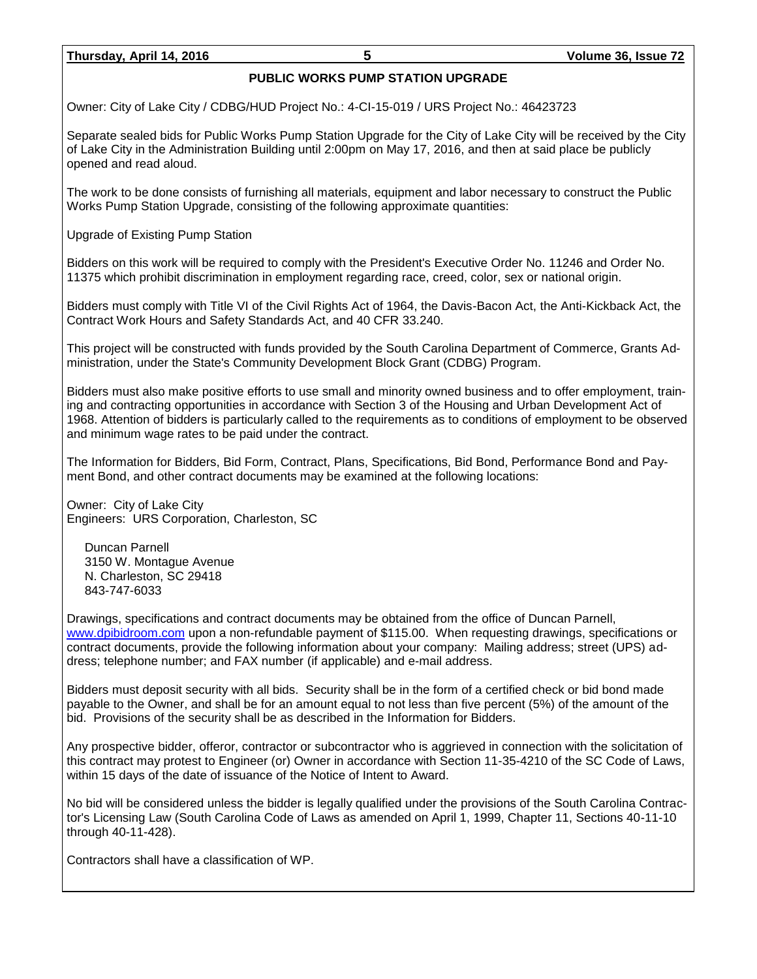### **PUBLIC WORKS PUMP STATION UPGRADE**

Owner: City of Lake City / CDBG/HUD Project No.: 4-CI-15-019 / URS Project No.: 46423723

Separate sealed bids for Public Works Pump Station Upgrade for the City of Lake City will be received by the City of Lake City in the Administration Building until 2:00pm on May 17, 2016, and then at said place be publicly opened and read aloud.

The work to be done consists of furnishing all materials, equipment and labor necessary to construct the Public Works Pump Station Upgrade, consisting of the following approximate quantities:

Upgrade of Existing Pump Station

Bidders on this work will be required to comply with the President's Executive Order No. 11246 and Order No. 11375 which prohibit discrimination in employment regarding race, creed, color, sex or national origin.

Bidders must comply with Title VI of the Civil Rights Act of 1964, the Davis-Bacon Act, the Anti-Kickback Act, the Contract Work Hours and Safety Standards Act, and 40 CFR 33.240.

This project will be constructed with funds provided by the South Carolina Department of Commerce, Grants Administration, under the State's Community Development Block Grant (CDBG) Program.

Bidders must also make positive efforts to use small and minority owned business and to offer employment, training and contracting opportunities in accordance with Section 3 of the Housing and Urban Development Act of 1968. Attention of bidders is particularly called to the requirements as to conditions of employment to be observed and minimum wage rates to be paid under the contract.

The Information for Bidders, Bid Form, Contract, Plans, Specifications, Bid Bond, Performance Bond and Payment Bond, and other contract documents may be examined at the following locations:

Owner: City of Lake City Engineers: URS Corporation, Charleston, SC

Duncan Parnell 3150 W. Montague Avenue N. Charleston, SC 29418 843-747-6033

Drawings, specifications and contract documents may be obtained from the office of Duncan Parnell, [www.dpibidroom.com](http://www.dpibidroom.com/) upon a non-refundable payment of \$115.00. When requesting drawings, specifications or contract documents, provide the following information about your company: Mailing address; street (UPS) address; telephone number; and FAX number (if applicable) and e-mail address.

Bidders must deposit security with all bids. Security shall be in the form of a certified check or bid bond made payable to the Owner, and shall be for an amount equal to not less than five percent (5%) of the amount of the bid. Provisions of the security shall be as described in the Information for Bidders.

Any prospective bidder, offeror, contractor or subcontractor who is aggrieved in connection with the solicitation of this contract may protest to Engineer (or) Owner in accordance with Section 11-35-4210 of the SC Code of Laws, within 15 days of the date of issuance of the Notice of Intent to Award.

No bid will be considered unless the bidder is legally qualified under the provisions of the South Carolina Contractor's Licensing Law (South Carolina Code of Laws as amended on April 1, 1999, Chapter 11, Sections 40-11-10 through 40-11-428).

Contractors shall have a classification of WP.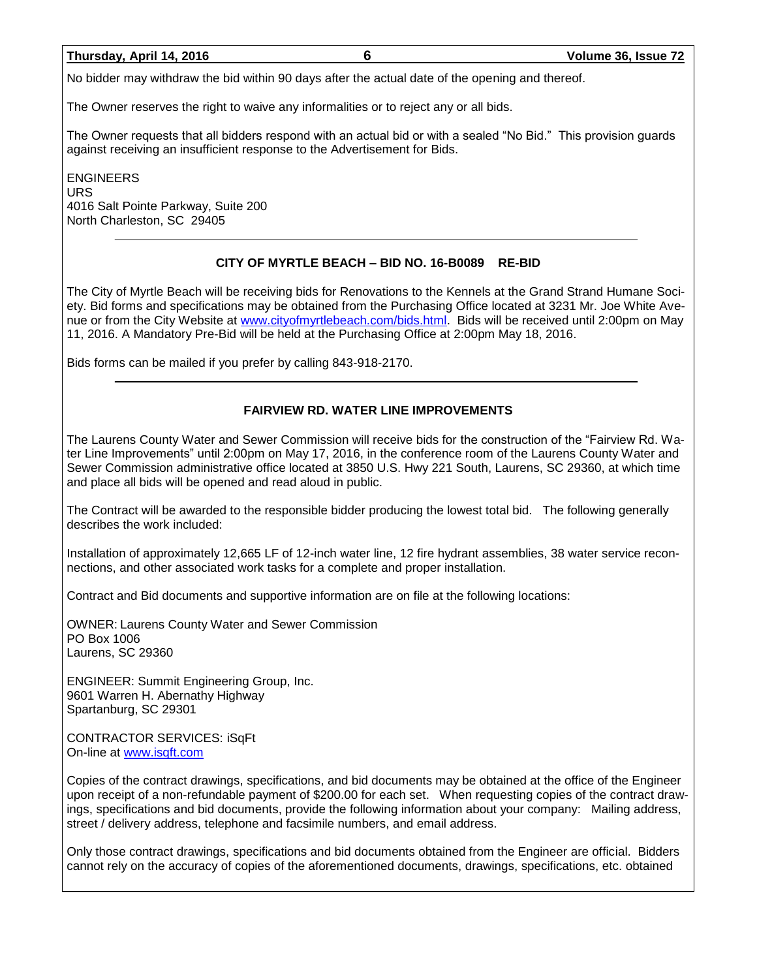No bidder may withdraw the bid within 90 days after the actual date of the opening and thereof.

The Owner reserves the right to waive any informalities or to reject any or all bids.

The Owner requests that all bidders respond with an actual bid or with a sealed "No Bid." This provision guards against receiving an insufficient response to the Advertisement for Bids.

ENGINEERS URS 4016 Salt Pointe Parkway, Suite 200 North Charleston, SC 29405

### **CITY OF MYRTLE BEACH – BID NO. 16-B0089 RE-BID**

The City of Myrtle Beach will be receiving bids for Renovations to the Kennels at the Grand Strand Humane Society. Bid forms and specifications may be obtained from the Purchasing Office located at 3231 Mr. Joe White Avenue or from the City Website at [www.cityofmyrtlebeach.com/bids.html.](http://www.cityofmyrtlebeach.com/bids.html) Bids will be received until 2:00pm on May 11, 2016. A Mandatory Pre-Bid will be held at the Purchasing Office at 2:00pm May 18, 2016.

Bids forms can be mailed if you prefer by calling 843-918-2170.

### **FAIRVIEW RD. WATER LINE IMPROVEMENTS**

The Laurens County Water and Sewer Commission will receive bids for the construction of the "Fairview Rd. Water Line Improvements" until 2:00pm on May 17, 2016, in the conference room of the Laurens County Water and Sewer Commission administrative office located at 3850 U.S. Hwy 221 South, Laurens, SC 29360, at which time and place all bids will be opened and read aloud in public.

The Contract will be awarded to the responsible bidder producing the lowest total bid. The following generally describes the work included:

Installation of approximately 12,665 LF of 12-inch water line, 12 fire hydrant assemblies, 38 water service reconnections, and other associated work tasks for a complete and proper installation.

Contract and Bid documents and supportive information are on file at the following locations:

OWNER: Laurens County Water and Sewer Commission PO Box 1006 Laurens, SC 29360

ENGINEER: Summit Engineering Group, Inc. 9601 Warren H. Abernathy Highway Spartanburg, SC 29301

CONTRACTOR SERVICES: iSqFt On-line at [www.isqft.com](http://www.isqft.com/)

Copies of the contract drawings, specifications, and bid documents may be obtained at the office of the Engineer upon receipt of a non-refundable payment of \$200.00 for each set. When requesting copies of the contract drawings, specifications and bid documents, provide the following information about your company: Mailing address, street / delivery address, telephone and facsimile numbers, and email address.

Only those contract drawings, specifications and bid documents obtained from the Engineer are official. Bidders cannot rely on the accuracy of copies of the aforementioned documents, drawings, specifications, etc. obtained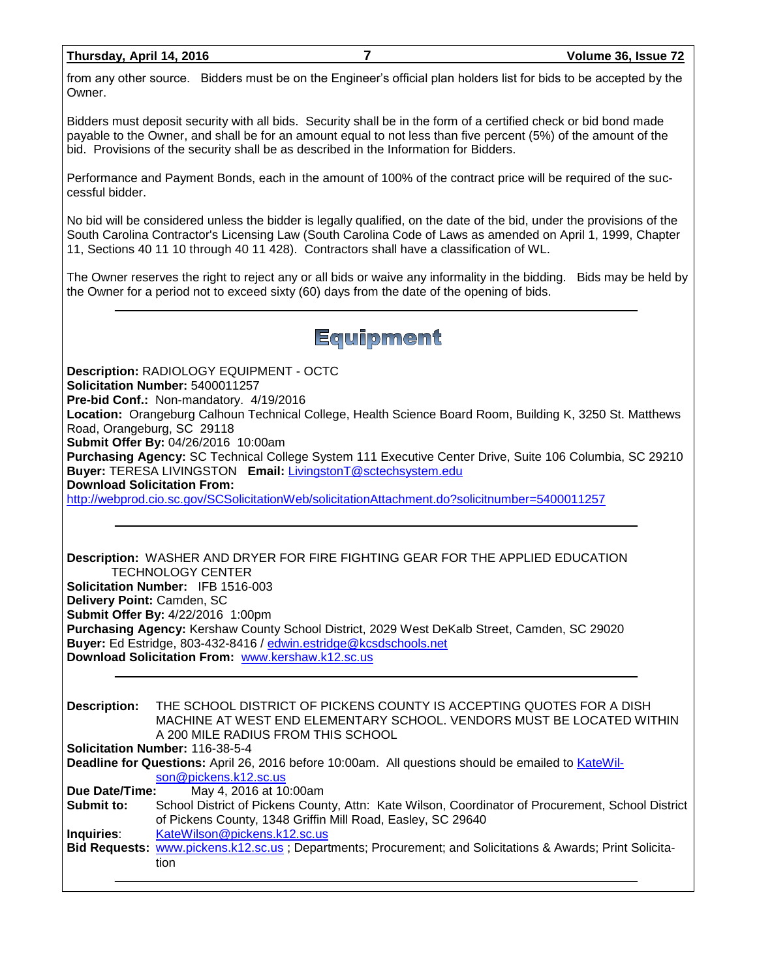from any other source. Bidders must be on the Engineer's official plan holders list for bids to be accepted by the Owner.

Bidders must deposit security with all bids. Security shall be in the form of a certified check or bid bond made payable to the Owner, and shall be for an amount equal to not less than five percent (5%) of the amount of the bid. Provisions of the security shall be as described in the Information for Bidders.

Performance and Payment Bonds, each in the amount of 100% of the contract price will be required of the successful bidder.

No bid will be considered unless the bidder is legally qualified, on the date of the bid, under the provisions of the South Carolina Contractor's Licensing Law (South Carolina Code of Laws as amended on April 1, 1999, Chapter 11, Sections 40 11 10 through 40 11 428). Contractors shall have a classification of WL.

The Owner reserves the right to reject any or all bids or waive any informality in the bidding. Bids may be held by the Owner for a period not to exceed sixty (60) days from the date of the opening of bids.

### Equipment

**Description:** RADIOLOGY EQUIPMENT - OCTC **Solicitation Number:** 5400011257 **Pre-bid Conf.:** Non-mandatory. 4/19/2016 **Location:** Orangeburg Calhoun Technical College, Health Science Board Room, Building K, 3250 St. Matthews Road, Orangeburg, SC 29118 **Submit Offer By:** 04/26/2016 10:00am **Purchasing Agency:** SC Technical College System 111 Executive Center Drive, Suite 106 Columbia, SC 29210 **Buyer:** TERESA LIVINGSTON **Email:** [LivingstonT@sctechsystem.edu](mailto:LivingstonT@sctechsystem.edu) **Download Solicitation From:**  <http://webprod.cio.sc.gov/SCSolicitationWeb/solicitationAttachment.do?solicitnumber=5400011257>

**Description:** WASHER AND DRYER FOR FIRE FIGHTING GEAR FOR THE APPLIED EDUCATION TECHNOLOGY CENTER **Solicitation Number:** IFB 1516-003 **Delivery Point:** Camden, SC **Submit Offer By:** 4/22/2016 1:00pm **Purchasing Agency:** Kershaw County School District, 2029 West DeKalb Street, Camden, SC 29020 **Buyer:** Ed Estridge, 803-432-8416 / [edwin.estridge@kcsdschools.net](mailto:edwin.estridge@kcsdschools.net) **Download Solicitation From:** [www.kershaw.k12.sc.us](http://www.kershaw.k12.sc.us/)

**Description:** THE SCHOOL DISTRICT OF PICKENS COUNTY IS ACCEPTING QUOTES FOR A DISH MACHINE AT WEST END ELEMENTARY SCHOOL. VENDORS MUST BE LOCATED WITHIN A 200 MILE RADIUS FROM THIS SCHOOL **Solicitation Number:** 116-38-5-4 **Deadline for Questions:** April 26, 2016 before 10:00am. All questions should be emailed to [KateWil](mailto:KateWilson@pickens.k12.sc.us)[son@pickens.k12.sc.us](mailto:KateWilson@pickens.k12.sc.us) **Due Date/Time:** May 4, 2016 at 10:00am **Submit to:** School District of Pickens County, Attn: Kate Wilson, Coordinator of Procurement, School District of Pickens County, 1348 Griffin Mill Road, Easley, SC 29640 **Inquiries**: [KateWilson@pickens.k12.sc.us](mailto:KateWilson@pickens.k12.sc.us) **Bid Requests:** [www.pickens.k12.sc.us](http://www.pickens.k12.sc.us/) ; Departments; Procurement; and Solicitations & Awards; Print Solicitation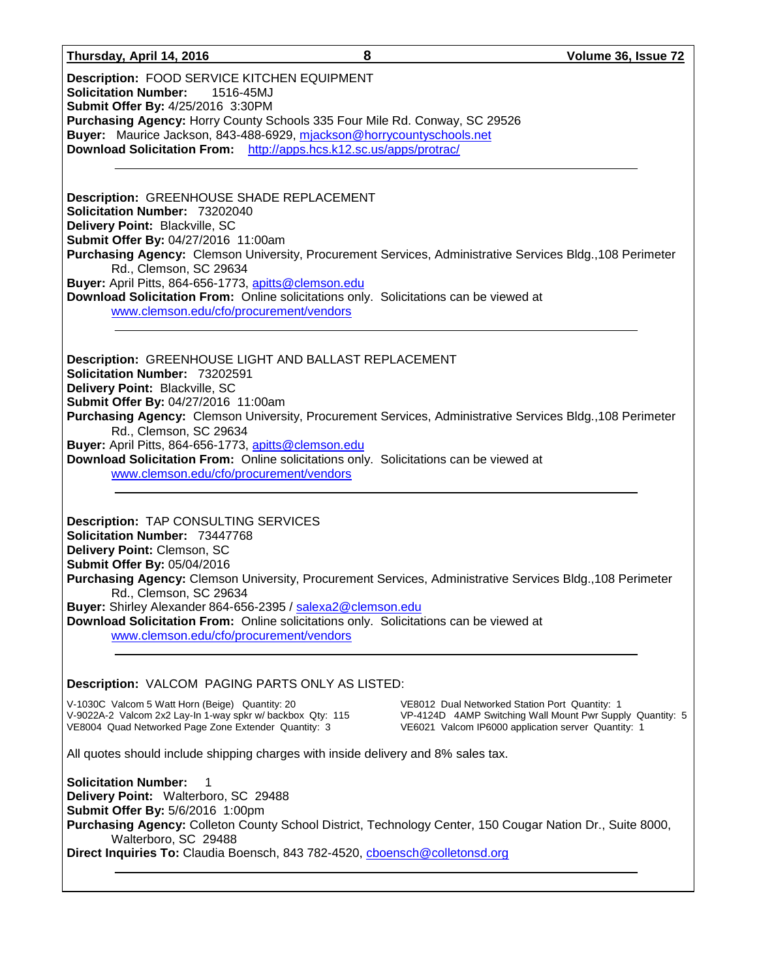#### **Thursday, April 14, 2016 8 Volume 36, Issue 72**

**Description:** FOOD SERVICE KITCHEN EQUIPMENT **Solicitation Number:** 1516-45MJ **Submit Offer By:** 4/25/2016 3:30PM **Purchasing Agency:** Horry County Schools 335 Four Mile Rd. Conway, SC 29526 **Buyer:** Maurice Jackson, 843-488-6929, [mjackson@horrycountyschools.net](mailto:mjackson@horrycountyschools.net) **Download Solicitation From:** <http://apps.hcs.k12.sc.us/apps/protrac/>

**Description:** GREENHOUSE SHADE REPLACEMENT **Solicitation Number:** 73202040 **Delivery Point:** Blackville, SC **Submit Offer By:** 04/27/2016 11:00am **Purchasing Agency:** Clemson University, Procurement Services, Administrative Services Bldg.,108 Perimeter Rd., Clemson, SC 29634 **Buyer:** April Pitts, 864-656-1773, [apitts@clemson.edu](mailto:apitts@clemson.edu) **Download Solicitation From:** Online solicitations only. Solicitations can be viewed at [www.clemson.edu/cfo/procurement/vendors](http://www.clemson.edu/cfo/procurement/vendors)

**Description:** GREENHOUSE LIGHT AND BALLAST REPLACEMENT **Solicitation Number:** 73202591 **Delivery Point:** Blackville, SC **Submit Offer By:** 04/27/2016 11:00am **Purchasing Agency:** Clemson University, Procurement Services, Administrative Services Bldg.,108 Perimeter Rd., Clemson, SC 29634 **Buyer:** April Pitts, 864-656-1773, [apitts@clemson.edu](mailto:apitts@clemson.edu) **Download Solicitation From:** Online solicitations only. Solicitations can be viewed at [www.clemson.edu/cfo/procurement/vendors](http://www.clemson.edu/cfo/procurement/vendors)

**Description:** TAP CONSULTING SERVICES **Solicitation Number:** 73447768 **Delivery Point:** Clemson, SC **Submit Offer By:** 05/04/2016 **Purchasing Agency:** Clemson University, Procurement Services, Administrative Services Bldg.,108 Perimeter Rd., Clemson, SC 29634 **Buyer:** Shirley Alexander 864-656-2395 / [salexa2@clemson.edu](mailto:salexa2@clemson.edu) **Download Solicitation From:** Online solicitations only. Solicitations can be viewed at

[www.clemson.edu/cfo/procurement/vendors](http://www.clemson.edu/cfo/procurement/vendors)

#### **Description:** VALCOM PAGING PARTS ONLY AS LISTED:

V-1030C Valcom 5 Watt Horn (Beige) Quantity: 20 V-9022A-2 Valcom 2x2 Lay-In 1-way spkr w/ backbox Qty: 115 VE8004 Quad Networked Page Zone Extender Quantity: 3

VE8012 Dual Networked Station Port Quantity: 1 VP-4124D 4AMP Switching Wall Mount Pwr Supply Quantity: 5 VE6021 Valcom IP6000 application server Quantity: 1

All quotes should include shipping charges with inside delivery and 8% sales tax.

**Solicitation Number:** 1 **Delivery Point:** Walterboro, SC 29488 **Submit Offer By:** 5/6/2016 1:00pm **Purchasing Agency:** Colleton County School District, Technology Center, 150 Cougar Nation Dr., Suite 8000, Walterboro, SC 29488 **Direct Inquiries To:** Claudia Boensch, 843 782-4520, [cboensch@colletonsd.org](mailto:cboensch@colletonsd.org)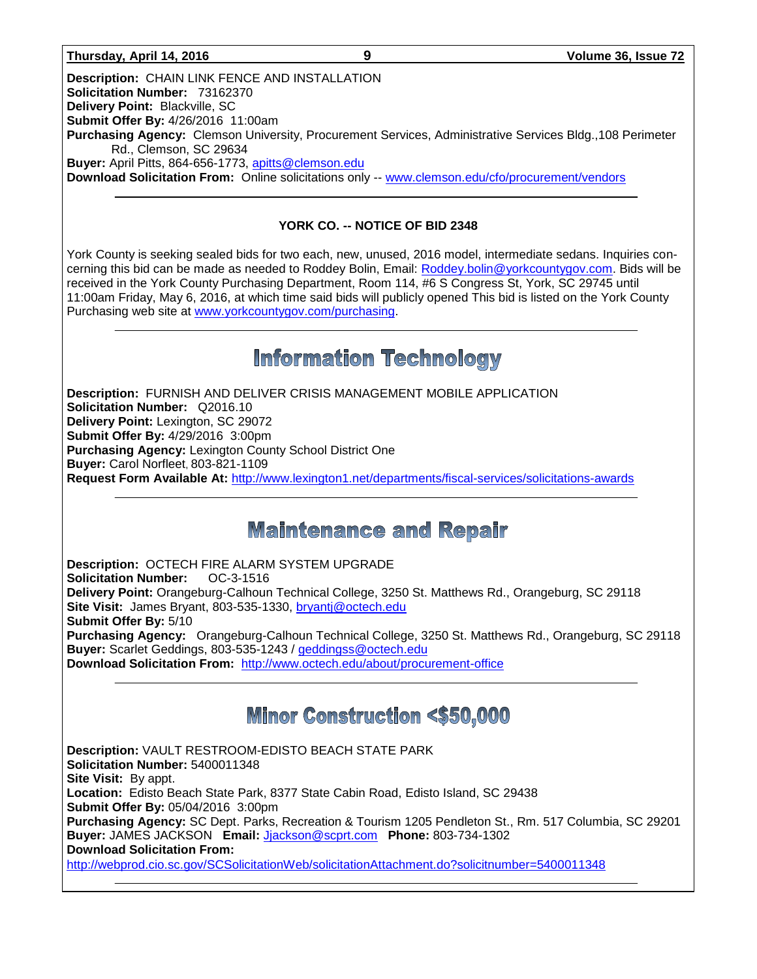#### **Thursday, April 14, 2016 9 Volume 36, Issue 72**

**Description:** CHAIN LINK FENCE AND INSTALLATION **Solicitation Number:** 73162370 **Delivery Point:** Blackville, SC **Submit Offer By:** 4/26/2016 11:00am **Purchasing Agency:** Clemson University, Procurement Services, Administrative Services Bldg.,108 Perimeter Rd., Clemson, SC 29634 **Buyer:** April Pitts, 864-656-1773, [apitts@clemson.edu](mailto:apitts@clemson.edu) **Download Solicitation From:** Online solicitations only -- [www.clemson.edu/cfo/procurement/vendors](http://www.clemson.edu/cfo/procurement/vendors)

### **YORK CO. -- NOTICE OF BID 2348**

York County is seeking sealed bids for two each, new, unused, 2016 model, intermediate sedans. Inquiries concerning this bid can be made as needed to Roddey Bolin, Email: [Roddey.bolin@yorkcountygov.com.](mailto:Roddey.bolin@yorkcountygov.com) Bids will be received in the York County Purchasing Department, Room 114, #6 S Congress St, York, SC 29745 until 11:00am Friday, May 6, 2016, at which time said bids will publicly opened This bid is listed on the York County Purchasing web site at [www.yorkcountygov.com/purchasing.](http://www.yorkcountygov.com/purchasing)

### **Information Technology**

**Description:** FURNISH AND DELIVER CRISIS MANAGEMENT MOBILE APPLICATION **Solicitation Number:** Q2016.10 **Delivery Point:** Lexington, SC 29072 **Submit Offer By:** 4/29/2016 3:00pm **Purchasing Agency:** Lexington County School District One **Buyer:** Carol Norfleet, 803-821-1109 **Request Form Available At:** <http://www.lexington1.net/departments/fiscal-services/solicitations-awards>

### **Maintenance and Repair**

**Description:** OCTECH FIRE ALARM SYSTEM UPGRADE **Solicitation Number:** OC-3-1516 **Delivery Point:** Orangeburg-Calhoun Technical College, 3250 St. Matthews Rd., Orangeburg, SC 29118 **Site Visit:** James Bryant, 803-535-1330, [bryantj@octech.edu](mailto:bryantj@octech.edu) **Submit Offer By:** 5/10 **Purchasing Agency:** Orangeburg-Calhoun Technical College, 3250 St. Matthews Rd., Orangeburg, SC 29118 **Buyer:** Scarlet Geddings, 803-535-1243 / [geddingss@octech.edu](mailto:geddingss@octech.edu) **Download Solicitation From:** <http://www.octech.edu/about/procurement-office>

### **Minor Construction <\$50,000**

**Description:** VAULT RESTROOM-EDISTO BEACH STATE PARK **Solicitation Number:** 5400011348 **Site Visit:** By appt. **Location:** Edisto Beach State Park, 8377 State Cabin Road, Edisto Island, SC 29438 **Submit Offer By:** 05/04/2016 3:00pm **Purchasing Agency:** SC Dept. Parks, Recreation & Tourism 1205 Pendleton St., Rm. 517 Columbia, SC 29201 **Buyer:** JAMES JACKSON **Email:** [Jjackson@scprt.com](mailto:Jjackson@scprt.com) **Phone:** 803-734-1302 **Download Solicitation From:**  <http://webprod.cio.sc.gov/SCSolicitationWeb/solicitationAttachment.do?solicitnumber=5400011348>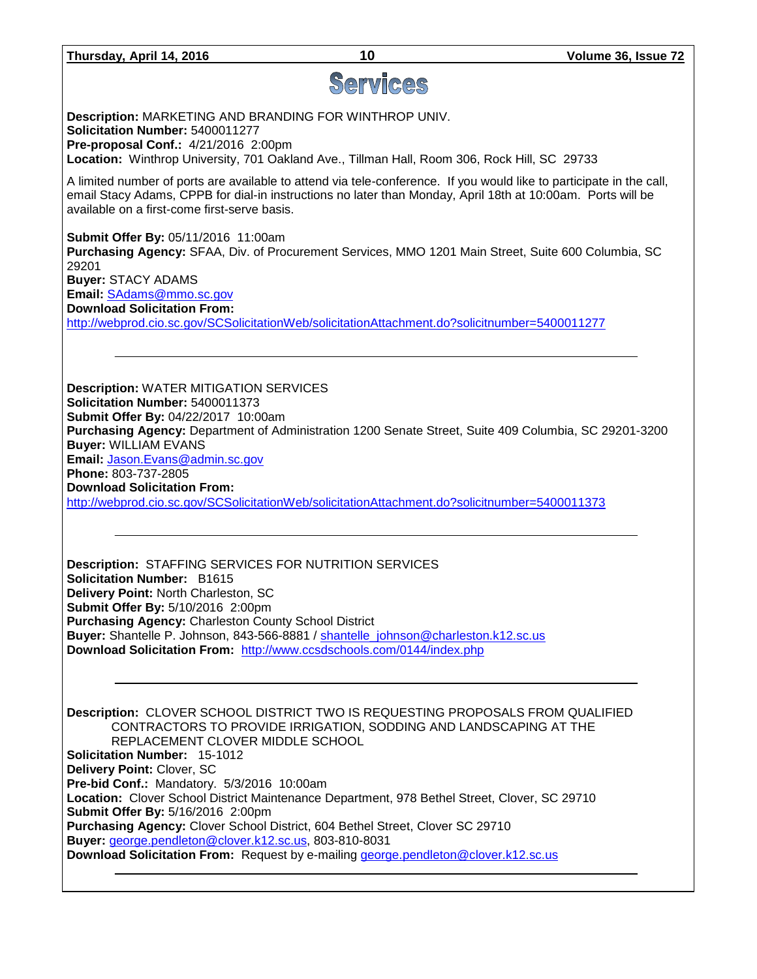# Services

**Description:** MARKETING AND BRANDING FOR WINTHROP UNIV. **Solicitation Number:** 5400011277 **Pre-proposal Conf.:** 4/21/2016 2:00pm **Location:** Winthrop University, 701 Oakland Ave., Tillman Hall, Room 306, Rock Hill, SC 29733

A limited number of ports are available to attend via tele-conference. If you would like to participate in the call, email Stacy Adams, CPPB for dial-in instructions no later than Monday, April 18th at 10:00am. Ports will be available on a first-come first-serve basis.

**Submit Offer By:** 05/11/2016 11:00am **Purchasing Agency:** SFAA, Div. of Procurement Services, MMO 1201 Main Street, Suite 600 Columbia, SC 29201 **Buyer:** STACY ADAMS **Email:** [SAdams@mmo.sc.gov](mailto:SAdams@mmo.sc.gov) **Download Solicitation From:**  <http://webprod.cio.sc.gov/SCSolicitationWeb/solicitationAttachment.do?solicitnumber=5400011277>

**Description:** WATER MITIGATION SERVICES **Solicitation Number:** 5400011373 **Submit Offer By:** 04/22/2017 10:00am **Purchasing Agency:** Department of Administration 1200 Senate Street, Suite 409 Columbia, SC 29201-3200 **Buyer:** WILLIAM EVANS **Email:** [Jason.Evans@admin.sc.gov](mailto:Jason.Evans@admin.sc.gov) **Phone:** 803-737-2805 **Download Solicitation From:**  <http://webprod.cio.sc.gov/SCSolicitationWeb/solicitationAttachment.do?solicitnumber=5400011373>

**Description:** STAFFING SERVICES FOR NUTRITION SERVICES **Solicitation Number:** B1615 **Delivery Point:** North Charleston, SC **Submit Offer By:** 5/10/2016 2:00pm **Purchasing Agency:** Charleston County School District **Buyer:** Shantelle P. Johnson, 843-566-8881 / [shantelle\\_johnson@charleston.k12.sc.us](mailto:shantelle_johnson@charleston.k12.sc.us) **Download Solicitation From:** <http://www.ccsdschools.com/0144/index.php>

**Description:** CLOVER SCHOOL DISTRICT TWO IS REQUESTING PROPOSALS FROM QUALIFIED CONTRACTORS TO PROVIDE IRRIGATION, SODDING AND LANDSCAPING AT THE REPLACEMENT CLOVER MIDDLE SCHOOL **Solicitation Number:** 15-1012 **Delivery Point:** Clover, SC **Pre-bid Conf.:** Mandatory. 5/3/2016 10:00am **Location:** Clover School District Maintenance Department, 978 Bethel Street, Clover, SC 29710 **Submit Offer By:** 5/16/2016 2:00pm **Purchasing Agency:** Clover School District, 604 Bethel Street, Clover SC 29710 **Buyer:** [george.pendleton@clover.k12.sc.us,](mailto:george.pendleton@clover.k12.sc.us) 803-810-8031 **Download Solicitation From:** Request by e-mailing [george.pendleton@clover.k12.sc.us](mailto:george.pendleton@clover.k12.sc.us)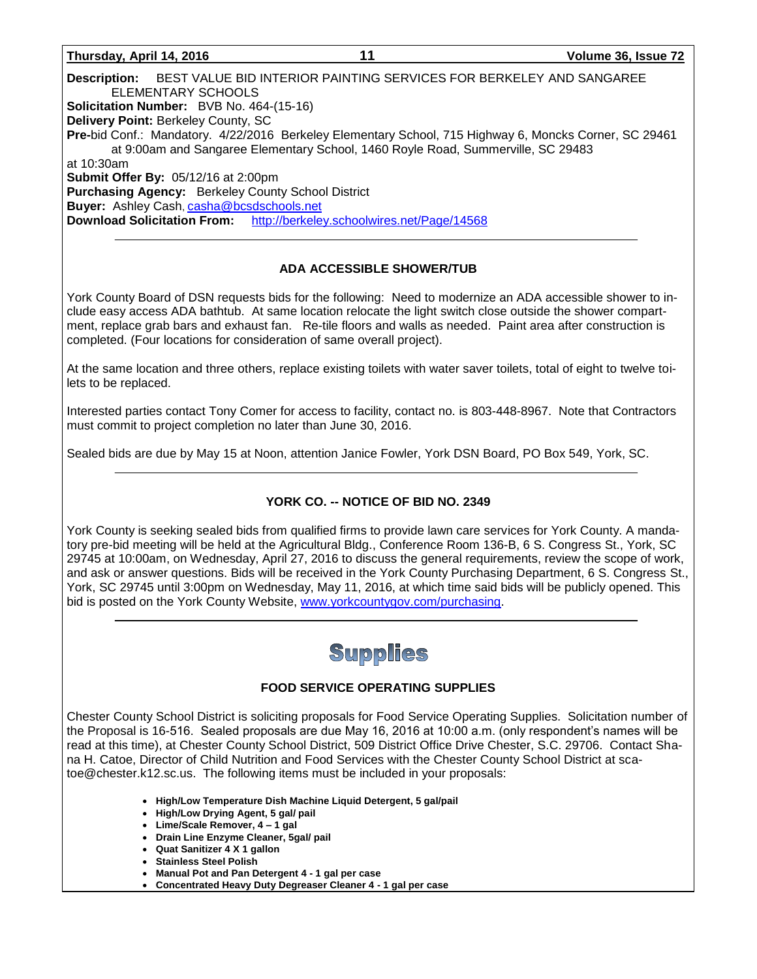#### **Thursday, April 14, 2016 11 Volume 36, Issue 72**

**Description:** BEST VALUE BID INTERIOR PAINTING SERVICES FOR BERKELEY AND SANGAREE ELEMENTARY SCHOOLS **Solicitation Number:** BVB No. 464-(15-16) **Delivery Point:** Berkeley County, SC **Pre-**bid Conf.: Mandatory. 4/22/2016 Berkeley Elementary School, 715 Highway 6, Moncks Corner, SC 29461 at 9:00am and Sangaree Elementary School, 1460 Royle Road, Summerville, SC 29483 at 10:30am **Submit Offer By:** 05/12/16 at 2:00pm **Purchasing Agency:** Berkeley County School District **Buyer:** Ashley Cash, [casha@bcsdschools.net](mailto:casha@bcsdschools.net) **Download Solicitation From:** <http://berkeley.schoolwires.net/Page/14568>

### **ADA ACCESSIBLE SHOWER/TUB**

York County Board of DSN requests bids for the following: Need to modernize an ADA accessible shower to include easy access ADA bathtub. At same location relocate the light switch close outside the shower compartment, replace grab bars and exhaust fan. Re-tile floors and walls as needed. Paint area after construction is completed. (Four locations for consideration of same overall project).

At the same location and three others, replace existing toilets with water saver toilets, total of eight to twelve toilets to be replaced.

Interested parties contact Tony Comer for access to facility, contact no. is 803-448-8967. Note that Contractors must commit to project completion no later than June 30, 2016.

Sealed bids are due by May 15 at Noon, attention Janice Fowler, York DSN Board, PO Box 549, York, SC.

### **YORK CO. -- NOTICE OF BID NO. 2349**

York County is seeking sealed bids from qualified firms to provide lawn care services for York County. A mandatory pre-bid meeting will be held at the Agricultural Bldg., Conference Room 136-B, 6 S. Congress St., York, SC 29745 at 10:00am, on Wednesday, April 27, 2016 to discuss the general requirements, review the scope of work, and ask or answer questions. Bids will be received in the York County Purchasing Department, 6 S. Congress St., York, SC 29745 until 3:00pm on Wednesday, May 11, 2016, at which time said bids will be publicly opened. This bid is posted on the York County Website, [www.yorkcountygov.com/purchasing.](http://www.yorkcountygov.com/purchasing)

## Supplies

### **FOOD SERVICE OPERATING SUPPLIES**

Chester County School District is soliciting proposals for Food Service Operating Supplies. Solicitation number of the Proposal is 16-516. Sealed proposals are due May 16, 2016 at 10:00 a.m. (only respondent's names will be read at this time), at Chester County School District, 509 District Office Drive Chester, S.C. 29706. Contact Shana H. Catoe, Director of Child Nutrition and Food Services with the Chester County School District at scatoe@chester.k12.sc.us. The following items must be included in your proposals:

- **High/Low Temperature Dish Machine Liquid Detergent, 5 gal/pail**
- **High/Low Drying Agent, 5 gal/ pail**
- **Lime/Scale Remover, 4 – 1 gal**
- **Drain Line Enzyme Cleaner, 5gal/ pail**
- **Quat Sanitizer 4 X 1 gallon**
- **Stainless Steel Polish**
- **Manual Pot and Pan Detergent 4 - 1 gal per case**
- **Concentrated Heavy Duty Degreaser Cleaner 4 - 1 gal per case**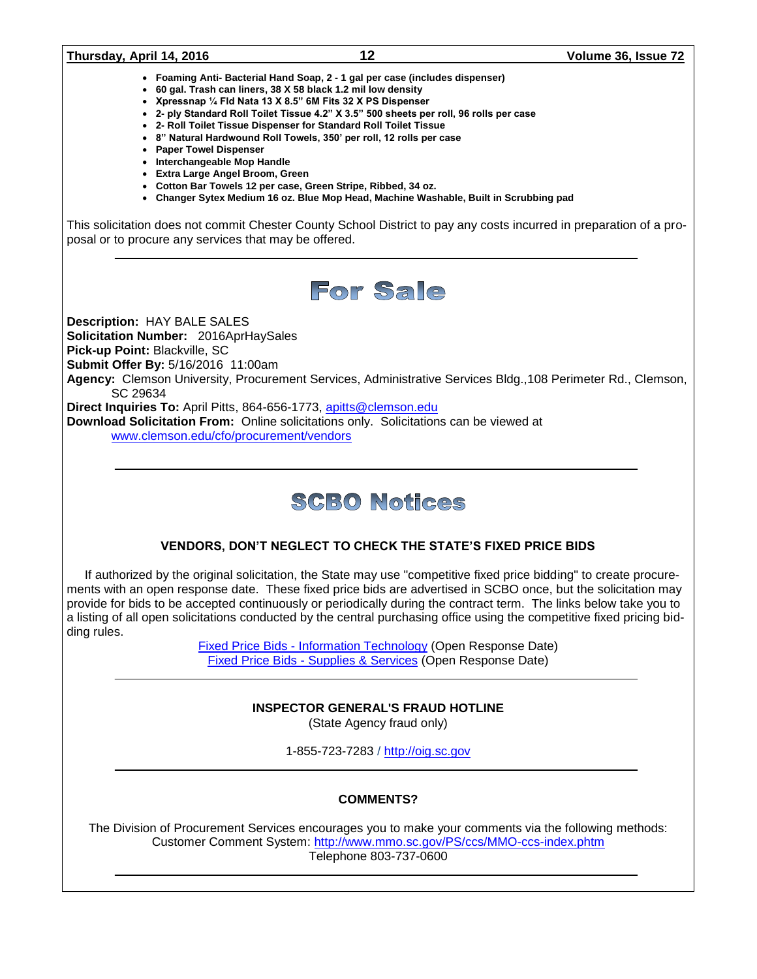#### **Thursday, April 14, 2016 12 Volume 36, Issue 72**

- **Foaming Anti- Bacterial Hand Soap, 2 - 1 gal per case (includes dispenser)**
- **60 gal. Trash can liners, 38 X 58 black 1.2 mil low density**
- **Xpressnap ¼ Fld Nata 13 X 8.5" 6M Fits 32 X PS Dispenser**
- **2- ply Standard Roll Toilet Tissue 4.2" X 3.5" 500 sheets per roll, 96 rolls per case**
- **2- Roll Toilet Tissue Dispenser for Standard Roll Toilet Tissue**
- **8" Natural Hardwound Roll Towels, 350' per roll, 12 rolls per case**
- **Paper Towel Dispenser**
- **Interchangeable Mop Handle**
- **Extra Large Angel Broom, Green**
- **Cotton Bar Towels 12 per case, Green Stripe, Ribbed, 34 oz.**
- **Changer Sytex Medium 16 oz. Blue Mop Head, Machine Washable, Built in Scrubbing pad**

This solicitation does not commit Chester County School District to pay any costs incurred in preparation of a proposal or to procure any services that may be offered.



**Description:** HAY BALE SALES

**Solicitation Number:** 2016AprHaySales **Pick-up Point:** Blackville, SC

**Submit Offer By:** 5/16/2016 11:00am

**Agency:** Clemson University, Procurement Services, Administrative Services Bldg.,108 Perimeter Rd., Clemson, SC 29634

**Direct Inquiries To:** April Pitts, 864-656-1773, [apitts@clemson.edu](mailto:apitts@clemson.edu)

**Download Solicitation From:** Online solicitations only. Solicitations can be viewed at [www.clemson.edu/cfo/procurement/vendors](http://www.clemson.edu/cfo/procurement/vendors)

## **SCBO Notices**

### **VENDORS, DON'T NEGLECT TO CHECK THE STATE'S FIXED PRICE BIDS**

If authorized by the original solicitation, the State may use "competitive fixed price bidding" to create procurements with an open response date. These fixed price bids are advertised in SCBO once, but the solicitation may provide for bids to be accepted continuously or periodically during the contract term. The links below take you to a listing of all open solicitations conducted by the central purchasing office using the competitive fixed pricing bidding rules.

> Fixed Price Bids - [Information Technology](http://www.mmo.sc.gov/PS/vendor/PS-vendor-fixed-price-bids-it.phtm) (Open Response Date) Fixed Price Bids - [Supplies & Services](http://www.mmo.sc.gov/PS/vendor/PS-vendor-fixed-price-bids-ss.phtm) (Open Response Date)

### **INSPECTOR GENERAL'S FRAUD HOTLINE**

(State Agency fraud only)

1-855-723-7283 / [http://oig.sc.gov](http://oig.sc.gov/)

### **COMMENTS?**

The Division of Procurement Services encourages you to make your comments via the following methods: Customer Comment System:<http://www.mmo.sc.gov/PS/ccs/MMO-ccs-index.phtm> Telephone 803-737-0600